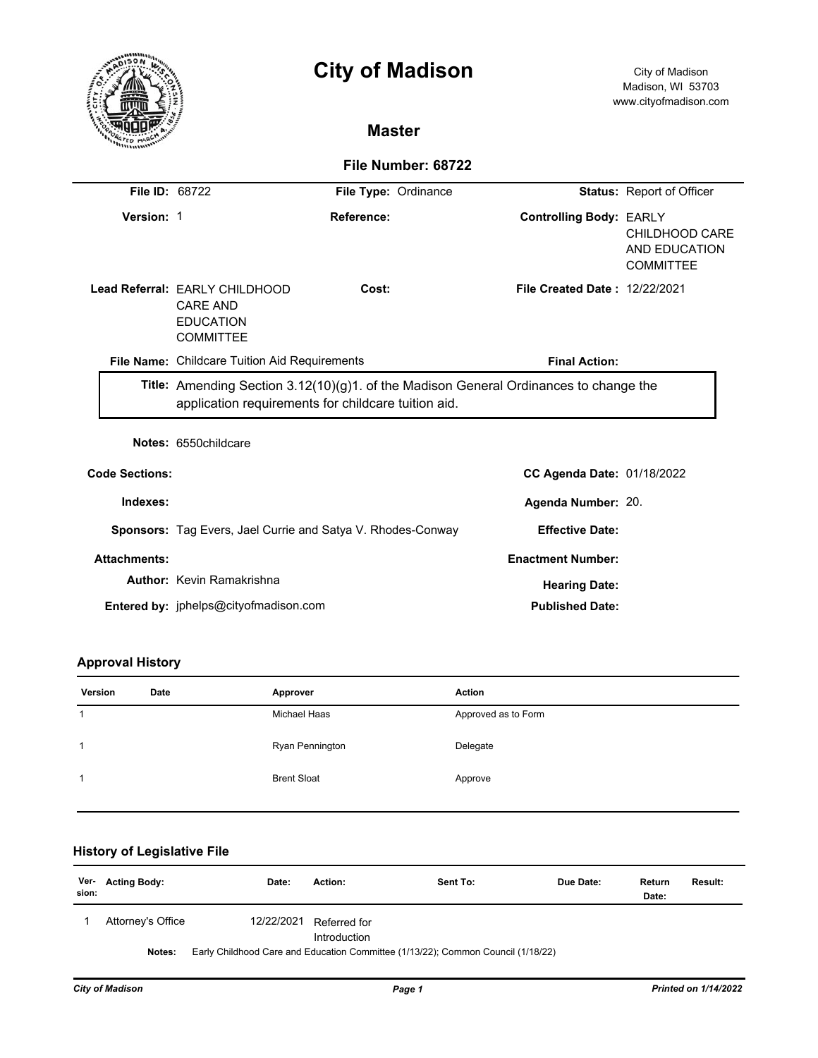|                       |                                                                                                                                              | <b>City of Madison</b>                                      |                                      | City of Madison<br>Madison, WI 53703<br>www.cityofmadison.com |  |
|-----------------------|----------------------------------------------------------------------------------------------------------------------------------------------|-------------------------------------------------------------|--------------------------------------|---------------------------------------------------------------|--|
|                       |                                                                                                                                              | <b>Master</b>                                               |                                      |                                                               |  |
|                       |                                                                                                                                              | File Number: 68722                                          |                                      |                                                               |  |
| <b>File ID: 68722</b> |                                                                                                                                              | File Type: Ordinance                                        |                                      | <b>Status: Report of Officer</b>                              |  |
| Version: 1            |                                                                                                                                              | Reference:                                                  | <b>Controlling Body: EARLY</b>       | CHILDHOOD CARE<br>AND EDUCATION<br><b>COMMITTEE</b>           |  |
|                       | Lead Referral: EARLY CHILDHOOD<br><b>CARE AND</b><br><b>EDUCATION</b><br><b>COMMITTEE</b>                                                    | Cost:                                                       | <b>File Created Date: 12/22/2021</b> |                                                               |  |
|                       | File Name: Childcare Tuition Aid Requirements                                                                                                |                                                             | <b>Final Action:</b>                 |                                                               |  |
|                       | Title: Amending Section 3.12(10)(g)1. of the Madison General Ordinances to change the<br>application requirements for childcare tuition aid. |                                                             |                                      |                                                               |  |
|                       | Notes: 6550childcare                                                                                                                         |                                                             |                                      |                                                               |  |
| <b>Code Sections:</b> |                                                                                                                                              |                                                             | CC Agenda Date: 01/18/2022           |                                                               |  |
| Indexes:              |                                                                                                                                              |                                                             | Agenda Number: 20.                   |                                                               |  |
|                       |                                                                                                                                              | Sponsors: Tag Evers, Jael Currie and Satya V. Rhodes-Conway | <b>Effective Date:</b>               |                                                               |  |
| <b>Attachments:</b>   |                                                                                                                                              |                                                             | <b>Enactment Number:</b>             |                                                               |  |
|                       | <b>Author: Kevin Ramakrishna</b>                                                                                                             |                                                             | <b>Hearing Date:</b>                 |                                                               |  |
|                       | Entered by: jphelps@cityofmadison.com                                                                                                        |                                                             | <b>Published Date:</b>               |                                                               |  |

# **Approval History**

| Version | Date | Approver           | <b>Action</b>       |
|---------|------|--------------------|---------------------|
|         |      | Michael Haas       | Approved as to Form |
| 1       |      | Ryan Pennington    | Delegate            |
| 1       |      | <b>Brent Sloat</b> | Approve             |
|         |      |                    |                     |

# **History of Legislative File**

| sion: | Ver- Acting Body: | Date:      | Action:                      | Sent To:                                                                         | Due Date: | Return<br>Date: | <b>Result:</b> |
|-------|-------------------|------------|------------------------------|----------------------------------------------------------------------------------|-----------|-----------------|----------------|
|       | Attorney's Office | 12/22/2021 | Referred for<br>Introduction |                                                                                  |           |                 |                |
|       | Notes:            |            |                              | Early Childhood Care and Education Committee (1/13/22); Common Council (1/18/22) |           |                 |                |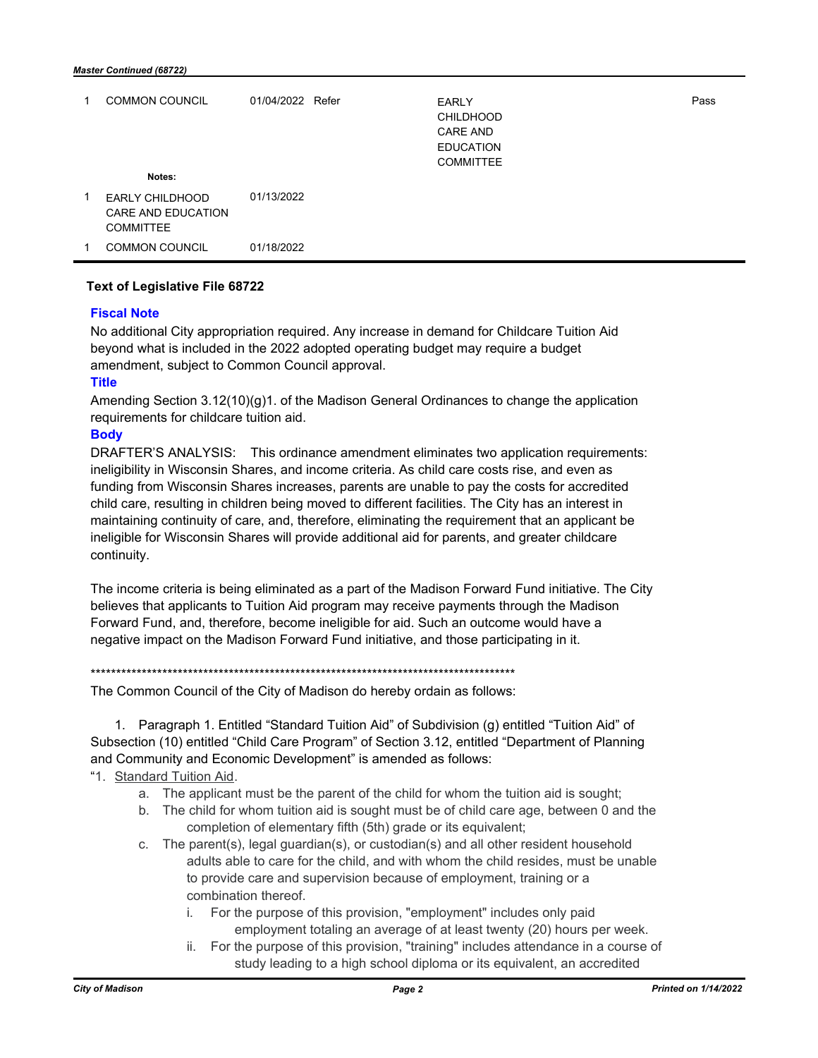|   | <b>COMMON COUNCIL</b>                                     | 01/04/2022 Refer | EARLY<br><b>CHILDHOOD</b><br><b>CARE AND</b><br><b>EDUCATION</b><br><b>COMMITTEE</b> | Pass |
|---|-----------------------------------------------------------|------------------|--------------------------------------------------------------------------------------|------|
|   | Notes:                                                    |                  |                                                                                      |      |
| 1 | EARLY CHILDHOOD<br>CARE AND EDUCATION<br><b>COMMITTEE</b> | 01/13/2022       |                                                                                      |      |
|   | <b>COMMON COUNCIL</b>                                     | 01/18/2022       |                                                                                      |      |

#### **Text of Legislative File 68722**

### **Fiscal Note**

No additional City appropriation required. Any increase in demand for Childcare Tuition Aid beyond what is included in the 2022 adopted operating budget may require a budget amendment, subject to Common Council approval.

### **Title**

Amending Section 3.12(10)(g)1. of the Madison General Ordinances to change the application requirements for childcare tuition aid.

## **Body**

DRAFTER'S ANALYSIS: This ordinance amendment eliminates two application requirements: ineligibility in Wisconsin Shares, and income criteria. As child care costs rise, and even as funding from Wisconsin Shares increases, parents are unable to pay the costs for accredited child care, resulting in children being moved to different facilities. The City has an interest in maintaining continuity of care, and, therefore, eliminating the requirement that an applicant be ineligible for Wisconsin Shares will provide additional aid for parents, and greater childcare continuity.

The income criteria is being eliminated as a part of the Madison Forward Fund initiative. The City believes that applicants to Tuition Aid program may receive payments through the Madison Forward Fund, and, therefore, become ineligible for aid. Such an outcome would have a negative impact on the Madison Forward Fund initiative, and those participating in it.

#### \*\*\*\*\*\*\*\*\*\*\*\*\*\*\*\*\*\*\*\*\*\*\*\*\*\*\*\*\*\*\*\*\*\*\*\*\*\*\*\*\*\*\*\*\*\*\*\*\*\*\*\*\*\*\*\*\*\*\*\*\*\*\*\*\*\*\*\*\*\*\*\*\*\*\*\*\*\*\*\*\*\*\*

The Common Council of the City of Madison do hereby ordain as follows:

1. Paragraph 1. Entitled "Standard Tuition Aid" of Subdivision (g) entitled "Tuition Aid" of Subsection (10) entitled "Child Care Program" of Section 3.12, entitled "Department of Planning and Community and Economic Development" is amended as follows:

## "1. Standard Tuition Aid.

- a. The applicant must be the parent of the child for whom the tuition aid is sought;
- b. The child for whom tuition aid is sought must be of child care age, between 0 and the completion of elementary fifth (5th) grade or its equivalent;
- c. The parent(s), legal guardian(s), or custodian(s) and all other resident household adults able to care for the child, and with whom the child resides, must be unable to provide care and supervision because of employment, training or a combination thereof.
	- i. For the purpose of this provision, "employment" includes only paid employment totaling an average of at least twenty (20) hours per week.
	- ii. For the purpose of this provision, "training" includes attendance in a course of study leading to a high school diploma or its equivalent, an accredited